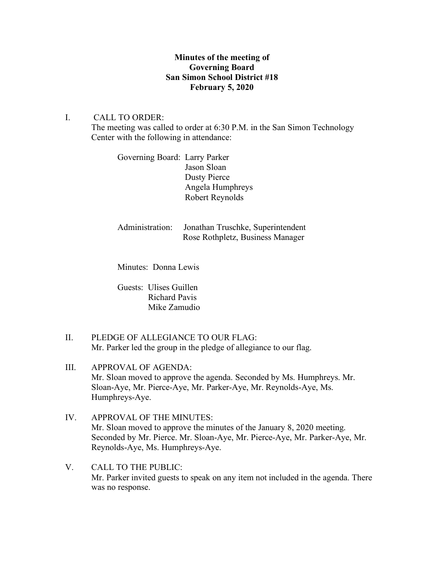## **Minutes of the meeting of Governing Board San Simon School District #18 February 5, 2020**

## I. CALL TO ORDER:

The meeting was called to order at 6:30 P.M. in the San Simon Technology Center with the following in attendance:

Governing Board: Larry Parker Jason Sloan Dusty Pierce Angela Humphreys Robert Reynolds

Administration: Jonathan Truschke, Superintendent Rose Rothpletz, Business Manager

Minutes: Donna Lewis

Guests: Ulises Guillen Richard Pavis Mike Zamudio

- II. PLEDGE OF ALLEGIANCE TO OUR FLAG: Mr. Parker led the group in the pledge of allegiance to our flag.
- III. APPROVAL OF AGENDA: Mr. Sloan moved to approve the agenda. Seconded by Ms. Humphreys. Mr. Sloan-Aye, Mr. Pierce-Aye, Mr. Parker-Aye, Mr. Reynolds-Aye, Ms. Humphreys-Aye.
- IV. APPROVAL OF THE MINUTES: Mr. Sloan moved to approve the minutes of the January 8, 2020 meeting. Seconded by Mr. Pierce. Mr. Sloan-Aye, Mr. Pierce-Aye, Mr. Parker-Aye, Mr. Reynolds-Aye, Ms. Humphreys-Aye.
- V. CALL TO THE PUBLIC: Mr. Parker invited guests to speak on any item not included in the agenda. There was no response.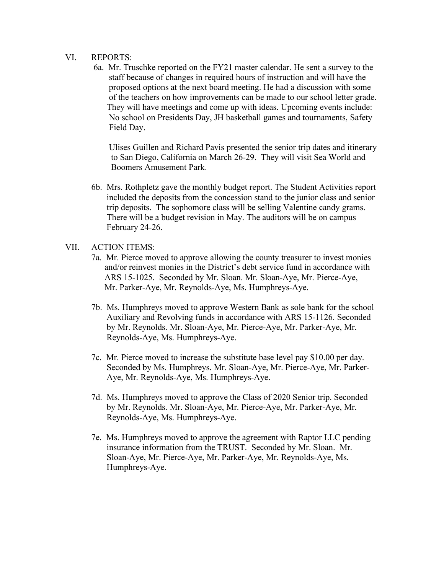## VI. REPORTS:

6a. Mr. Truschke reported on the FY21 master calendar. He sent a survey to the staff because of changes in required hours of instruction and will have the proposed options at the next board meeting. He had a discussion with some of the teachers on how improvements can be made to our school letter grade. They will have meetings and come up with ideas. Upcoming events include: No school on Presidents Day, JH basketball games and tournaments, Safety Field Day.

 Ulises Guillen and Richard Pavis presented the senior trip dates and itinerary to San Diego, California on March 26-29. They will visit Sea World and Boomers Amusement Park.

6b. Mrs. Rothpletz gave the monthly budget report. The Student Activities report included the deposits from the concession stand to the junior class and senior trip deposits. The sophomore class will be selling Valentine candy grams. There will be a budget revision in May. The auditors will be on campus February 24-26.

## VII. ACTION ITEMS:

- 7a. Mr. Pierce moved to approve allowing the county treasurer to invest monies and/or reinvest monies in the District's debt service fund in accordance with ARS 15-1025. Seconded by Mr. Sloan. Mr. Sloan-Aye, Mr. Pierce-Aye, Mr. Parker-Aye, Mr. Reynolds-Aye, Ms. Humphreys-Aye.
- 7b. Ms. Humphreys moved to approve Western Bank as sole bank for the school Auxiliary and Revolving funds in accordance with ARS 15-1126. Seconded by Mr. Reynolds. Mr. Sloan-Aye, Mr. Pierce-Aye, Mr. Parker-Aye, Mr. Reynolds-Aye, Ms. Humphreys-Aye.
- 7c. Mr. Pierce moved to increase the substitute base level pay \$10.00 per day. Seconded by Ms. Humphreys. Mr. Sloan-Aye, Mr. Pierce-Aye, Mr. Parker- Aye, Mr. Reynolds-Aye, Ms. Humphreys-Aye.
- 7d. Ms. Humphreys moved to approve the Class of 2020 Senior trip. Seconded by Mr. Reynolds. Mr. Sloan-Aye, Mr. Pierce-Aye, Mr. Parker-Aye, Mr. Reynolds-Aye, Ms. Humphreys-Aye.
- 7e. Ms. Humphreys moved to approve the agreement with Raptor LLC pending insurance information from the TRUST. Seconded by Mr. Sloan. Mr. Sloan-Aye, Mr. Pierce-Aye, Mr. Parker-Aye, Mr. Reynolds-Aye, Ms. Humphreys-Aye.